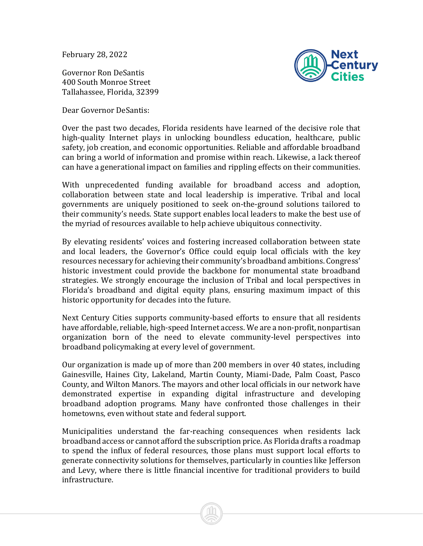February 28, 2022

Governor Ron DeSantis 400 South Monroe Street Tallahassee, Florida, 32399

Dear Governor DeSantis:



Over the past two decades, Florida residents have learned of the decisive role that high-quality Internet plays in unlocking boundless education, healthcare, public safety, job creation, and economic opportunities. Reliable and affordable broadband can bring a world of information and promise within reach. Likewise, a lack thereof can have a generational impact on families and rippling effects on their communities.

With unprecedented funding available for broadband access and adoption, collaboration between state and local leadership is imperative. Tribal and local governments are uniquely positioned to seek on-the-ground solutions tailored to their community's needs. State support enables local leaders to make the best use of the myriad of resources available to help achieve ubiquitous connectivity.

By elevating residents' voices and fostering increased collaboration between state and local leaders, the Governor's Office could equip local officials with the key resources necessary for achieving their community's broadband ambitions. Congress' historic investment could provide the backbone for monumental state broadband strategies. We strongly encourage the inclusion of Tribal and local perspectives in Florida's broadband and digital equity plans, ensuring maximum impact of this historic opportunity for decades into the future.

Next Century Cities supports community-based efforts to ensure that all residents have affordable, reliable, high-speed Internet access. We are a non-profit, nonpartisan organization born of the need to elevate community-level perspectives into broadband policymaking at every level of government.

Our organization is made up of more than 200 members in over 40 states, including Gainesville, Haines City, Lakeland, Martin County, Miami-Dade, Palm Coast, Pasco County, and Wilton Manors. The mayors and other local officials in our network have demonstrated expertise in expanding digital infrastructure and developing broadband adoption programs. Many have confronted those challenges in their hometowns, even without state and federal support.

Municipalities understand the far-reaching consequences when residents lack broadband access or cannot afford the subscription price. As Florida drafts a roadmap to spend the influx of federal resources, those plans must support local efforts to generate connectivity solutions for themselves, particularly in counties like Jefferson and Levy, where there is little financial incentive for traditional providers to build infrastructure.